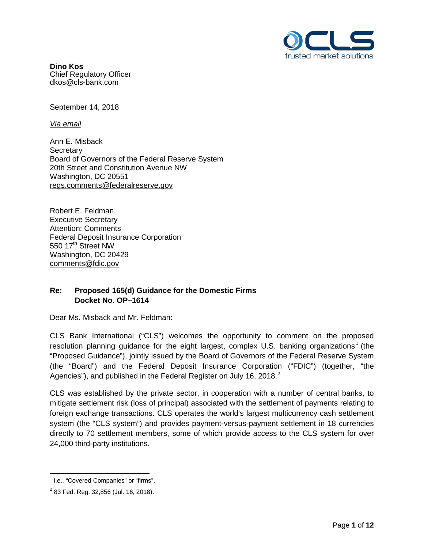

**Dino Kos** Chief Regulatory Officer dkos@cls-bank.com

September 14, 2018

*Via email* 

Ann E. Misback **Secretary** Board of Governors of the Federal Reserve System 20th Street and Constitution Avenue NW Washington, DC 20551 regs.comments@federalreserve.gov

Robert E. Feldman Executive Secretary Attention: Comments Federal Deposit Insurance Corporation 550 17<sup>th</sup> Street NW Washington, DC 20429 comments@fdic.gov

# **Re: Proposed 165(d) Guidance for the Domestic Firms Docket No. OP–1614**

Dear Ms. Misback and Mr. Feldman:

CLS Bank International ("CLS") welcomes the opportunity to comment on the proposed resolution planning guidance for the eight largest, complex U.S. banking organizations<sup>[1](#page-0-0)</sup> (the "Proposed Guidance"), jointly issued by the Board of Governors of the Federal Reserve System (the "Board") and the Federal Deposit Insurance Corporation ("FDIC") (together, "the Agencies"), and published in the Federal Register on July 16, [2](#page-0-1)018. $^2$ 

CLS was established by the private sector, in cooperation with a number of central banks, to mitigate settlement risk (loss of principal) associated with the settlement of payments relating to foreign exchange transactions. CLS operates the world's largest multicurrency cash settlement system (the "CLS system") and provides payment-versus-payment settlement in 18 currencies directly to 70 settlement members, some of which provide access to the CLS system for over 24,000 third-party institutions.

<span id="page-0-0"></span><sup>&</sup>lt;sup>1</sup> i.e., "Covered Companies" or "firms".

<span id="page-0-1"></span> $2$  83 Fed. Reg. 32,856 (Jul. 16, 2018).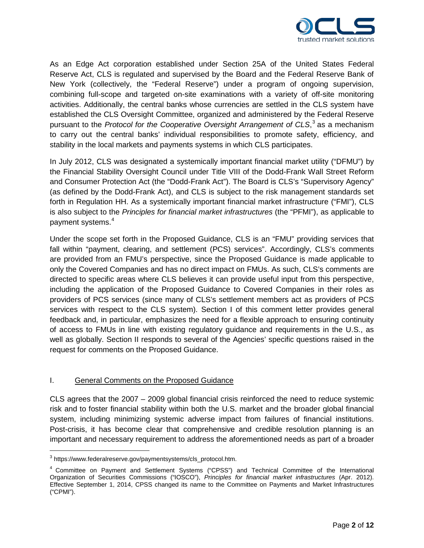

As an Edge Act corporation established under Section 25A of the United States Federal Reserve Act, CLS is regulated and supervised by the Board and the Federal Reserve Bank of New York (collectively, the "Federal Reserve") under a program of ongoing supervision, combining full-scope and targeted on-site examinations with a variety of off-site monitoring activities. Additionally, the central banks whose currencies are settled in the CLS system have established the CLS Oversight Committee, organized and administered by the Federal Reserve pursuant to the *Protocol for the Cooperative Oversight Arrangement of CLS*, [3](#page-1-0) as a mechanism to carry out the central banks' individual responsibilities to promote safety, efficiency, and stability in the local markets and payments systems in which CLS participates.

In July 2012, CLS was designated a systemically important financial market utility ("DFMU") by the Financial Stability Oversight Council under Title VIII of the Dodd-Frank Wall Street Reform and Consumer Protection Act (the "Dodd-Frank Act"). The Board is CLS's "Supervisory Agency" (as defined by the Dodd-Frank Act), and CLS is subject to the risk management standards set forth in Regulation HH. As a systemically important financial market infrastructure ("FMI"), CLS is also subject to the *Principles for financial market infrastructures* (the "PFMI"), as applicable to payment systems.[4](#page-1-1)

Under the scope set forth in the Proposed Guidance, CLS is an "FMU" providing services that fall within "payment, clearing, and settlement (PCS) services". Accordingly, CLS's comments are provided from an FMU's perspective, since the Proposed Guidance is made applicable to only the Covered Companies and has no direct impact on FMUs. As such, CLS's comments are directed to specific areas where CLS believes it can provide useful input from this perspective, including the application of the Proposed Guidance to Covered Companies in their roles as providers of PCS services (since many of CLS's settlement members act as providers of PCS services with respect to the CLS system). Section I of this comment letter provides general feedback and, in particular, emphasizes the need for a flexible approach to ensuring continuity of access to FMUs in line with existing regulatory guidance and requirements in the U.S., as well as globally. Section II responds to several of the Agencies' specific questions raised in the request for comments on the Proposed Guidance.

## I. General Comments on the Proposed Guidance

CLS agrees that the 2007 – 2009 global financial crisis reinforced the need to reduce systemic risk and to foster financial stability within both the U.S. market and the broader global financial system, including minimizing systemic adverse impact from failures of financial institutions. Post-crisis, it has become clear that comprehensive and credible resolution planning is an important and necessary requirement to address the aforementioned needs as part of a broader

<span id="page-1-0"></span> <sup>3</sup> https://www.federalreserve.gov/paymentsystems/cls\_protocol.htm.

<span id="page-1-1"></span><sup>4</sup> Committee on Payment and Settlement Systems ("CPSS") and Technical Committee of the International Organization of Securities Commissions ("IOSCO"), *Principles for financial market infrastructures* (Apr. 2012). Effective September 1, 2014, CPSS changed its name to the Committee on Payments and Market Infrastructures ("CPMI").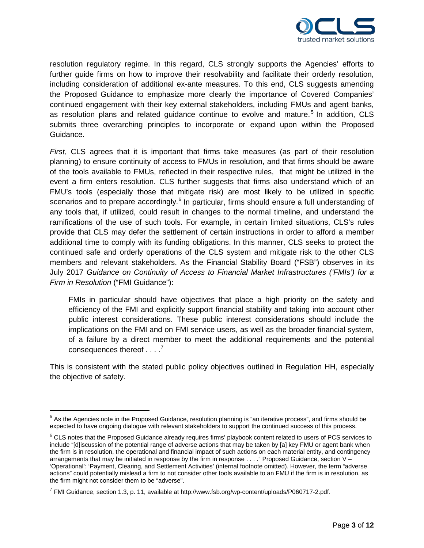

resolution regulatory regime. In this regard, CLS strongly supports the Agencies' efforts to further guide firms on how to improve their resolvability and facilitate their orderly resolution, including consideration of additional ex-ante measures. To this end, CLS suggests amending the Proposed Guidance to emphasize more clearly the importance of Covered Companies' continued engagement with their key external stakeholders, including FMUs and agent banks, as resolution plans and related guidance continue to evolve and mature.<sup>[5](#page-2-0)</sup> In addition, CLS submits three overarching principles to incorporate or expand upon within the Proposed Guidance.

*First*, CLS agrees that it is important that firms take measures (as part of their resolution planning) to ensure continuity of access to FMUs in resolution, and that firms should be aware of the tools available to FMUs, reflected in their respective rules, that might be utilized in the event a firm enters resolution. CLS further suggests that firms also understand which of an FMU's tools (especially those that mitigate risk) are most likely to be utilized in specific scenarios and to prepare accordingly.<sup>[6](#page-2-1)</sup> In particular, firms should ensure a full understanding of any tools that, if utilized, could result in changes to the normal timeline, and understand the ramifications of the use of such tools. For example, in certain limited situations, CLS's rules provide that CLS may defer the settlement of certain instructions in order to afford a member additional time to comply with its funding obligations. In this manner, CLS seeks to protect the continued safe and orderly operations of the CLS system and mitigate risk to the other CLS members and relevant stakeholders. As the Financial Stability Board ("FSB") observes in its July 2017 *Guidance on Continuity of Access to Financial Market Infrastructures ('FMIs') for a Firm in Resolution* ("FMI Guidance"):

FMIs in particular should have objectives that place a high priority on the safety and efficiency of the FMI and explicitly support financial stability and taking into account other public interest considerations. These public interest considerations should include the implications on the FMI and on FMI service users, as well as the broader financial system, of a failure by a direct member to meet the additional requirements and the potential consequences thereof  $\ldots$ <sup>[7](#page-2-2)</sup>

This is consistent with the stated public policy objectives outlined in Regulation HH, especially the objective of safety.

<span id="page-2-0"></span><sup>&</sup>lt;sup>5</sup> As the Agencies note in the Proposed Guidance, resolution planning is "an iterative process", and firms should be expected to have ongoing dialogue with relevant stakeholders to support the continued success of this process.

<span id="page-2-1"></span><sup>&</sup>lt;sup>6</sup> CLS notes that the Proposed Guidance already requires firms' playbook content related to users of PCS services to include "[d]iscussion of the potential range of adverse actions that may be taken by [a] key FMU or agent bank when the firm is in resolution, the operational and financial impact of such actions on each material entity, and contingency arrangements that may be initiated in response by the firm in response . . . ." Proposed Guidance, section V – 'Operational': 'Payment, Clearing, and Settlement Activities' (internal footnote omitted). However, the term "adverse actions" could potentially mislead a firm to not consider other tools available to an FMU if the firm is in resolution, as the firm might not consider them to be "adverse".

<span id="page-2-2"></span> $^7$  FMI Guidance, section 1.3, p. 11, available at http://www.fsb.org/wp-content/uploads/P060717-2.pdf.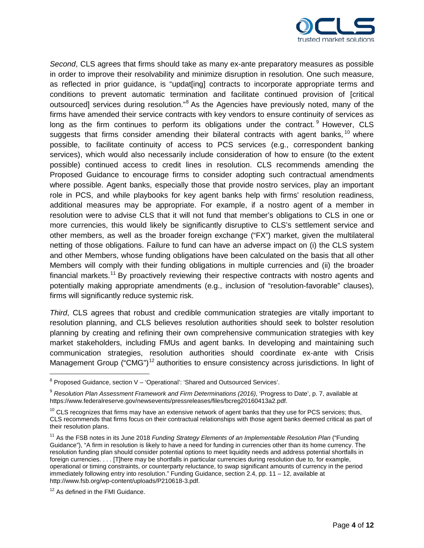

*Second*, CLS agrees that firms should take as many ex-ante preparatory measures as possible in order to improve their resolvability and minimize disruption in resolution. One such measure, as reflected in prior guidance, is "updat[ing] contracts to incorporate appropriate terms and conditions to prevent automatic termination and facilitate continued provision of [critical outsourced] services during resolution."<sup>[8](#page-3-0)</sup> As the Agencies have previously noted, many of the firms have amended their service contracts with key vendors to ensure continuity of services as long as the firm continues to perform its obligations under the contract. <sup>[9](#page-3-1)</sup> However, CLS suggests that firms consider amending their bilateral contracts with agent banks,  $10$  where possible, to facilitate continuity of access to PCS services (e.g., correspondent banking services), which would also necessarily include consideration of how to ensure (to the extent possible) continued access to credit lines in resolution. CLS recommends amending the Proposed Guidance to encourage firms to consider adopting such contractual amendments where possible. Agent banks, especially those that provide nostro services, play an important role in PCS, and while playbooks for key agent banks help with firms' resolution readiness, additional measures may be appropriate. For example, if a nostro agent of a member in resolution were to advise CLS that it will not fund that member's obligations to CLS in one or more currencies, this would likely be significantly disruptive to CLS's settlement service and other members, as well as the broader foreign exchange ("FX") market, given the multilateral netting of those obligations. Failure to fund can have an adverse impact on (i) the CLS system and other Members, whose funding obligations have been calculated on the basis that all other Members will comply with their funding obligations in multiple currencies and (ii) the broader financial markets.<sup>[11](#page-3-3)</sup> By proactively reviewing their respective contracts with nostro agents and potentially making appropriate amendments (e.g., inclusion of "resolution-favorable" clauses), firms will significantly reduce systemic risk.

*Third*, CLS agrees that robust and credible communication strategies are vitally important to resolution planning, and CLS believes resolution authorities should seek to bolster resolution planning by creating and refining their own comprehensive communication strategies with key market stakeholders, including FMUs and agent banks. In developing and maintaining such communication strategies, resolution authorities should coordinate ex-ante with Crisis Management Group ("CMG")<sup>[12](#page-3-4)</sup> authorities to ensure consistency across jurisdictions. In light of

<span id="page-3-0"></span> <sup>8</sup> Proposed Guidance, section V – 'Operational': 'Shared and Outsourced Services'.

<span id="page-3-1"></span><sup>9</sup> *Resolution Plan Assessment Framework and Firm Determinations (2016)*, 'Progress to Date', p. 7, available at https://www.federalreserve.gov/newsevents/pressreleases/files/bcreg20160413a2.pdf.

<span id="page-3-2"></span> $10$  CLS recognizes that firms may have an extensive network of agent banks that they use for PCS services; thus, CLS recommends that firms focus on their contractual relationships with those agent banks deemed critical as part of their resolution plans.

<span id="page-3-3"></span><sup>&</sup>lt;sup>11</sup> As the FSB notes in its June 2018 *Funding Strategy Elements of an Implementable Resolution Plan* ("Funding Guidance"), "A firm in resolution is likely to have a need for funding in currencies other than its home currency. The resolution funding plan should consider potential options to meet liquidity needs and address potential shortfalls in foreign currencies. . . . [T]here may be shortfalls in particular currencies during resolution due to, for example, operational or timing constraints, or counterparty reluctance, to swap significant amounts of currency in the period immediately following entry into resolution." Funding Guidance, section 2.4, pp. 11 – 12, available at http://www.fsb.org/wp-content/uploads/P210618-3.pdf.

<span id="page-3-4"></span><sup>&</sup>lt;sup>12</sup> As defined in the FMI Guidance.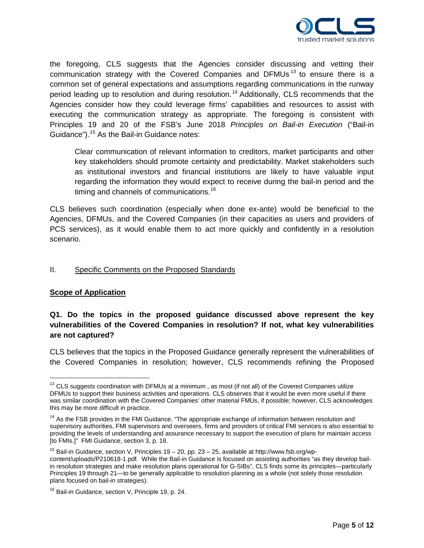

the foregoing, CLS suggests that the Agencies consider discussing and vetting their communication strategy with the Covered Companies and DFMUs<sup>[13](#page-4-0)</sup> to ensure there is a common set of general expectations and assumptions regarding communications in the runway period leading up to resolution and during resolution.<sup>[14](#page-4-1)</sup> Additionally, CLS recommends that the Agencies consider how they could leverage firms' capabilities and resources to assist with executing the communication strategy as appropriate. The foregoing is consistent with Principles 19 and 20 of the FSB's June 2018 *Principles on Bail-in Execution* ("Bail-in Guidance").[15](#page-4-2) As the Bail-in Guidance notes:

Clear communication of relevant information to creditors, market participants and other key stakeholders should promote certainty and predictability. Market stakeholders such as institutional investors and financial institutions are likely to have valuable input regarding the information they would expect to receive during the bail-in period and the timing and channels of communications.<sup>[16](#page-4-3)</sup>

CLS believes such coordination (especially when done ex-ante) would be beneficial to the Agencies, DFMUs, and the Covered Companies (in their capacities as users and providers of PCS services), as it would enable them to act more quickly and confidently in a resolution scenario.

#### II. Specific Comments on the Proposed Standards

## **Scope of Application**

## **Q1. Do the topics in the proposed guidance discussed above represent the key vulnerabilities of the Covered Companies in resolution? If not, what key vulnerabilities are not captured?**

CLS believes that the topics in the Proposed Guidance generally represent the vulnerabilities of the Covered Companies in resolution; however, CLS recommends refining the Proposed

<span id="page-4-0"></span><sup>&</sup>lt;sup>13</sup> CLS suggests coordination with DFMUs at a minimum, as most (if not all) of the Covered Companies utilize DFMUs to support their business activities and operations. CLS observes that it would be even more useful if there was similar coordination with the Covered Companies' other material FMUs, if possible; however, CLS acknowledges this may be more difficult in practice.

<span id="page-4-1"></span><sup>&</sup>lt;sup>14</sup> As the FSB provides in the FMI Guidance, "The appropriate exchange of information between resolution and supervisory authorities, FMI supervisors and overseers, firms and providers of critical FMI services is also essential to providing the levels of understanding and assurance necessary to support the execution of plans for maintain access [to FMIs.]" FMI Guidance, section 3, p. 18.

<span id="page-4-2"></span><sup>&</sup>lt;sup>15</sup> Bail-in Guidance, section V, Principles 19 – 20, pp. 23 – 25, available at http://www.fsb.org/wpcontent/uploads/P210618-1.pdf. While the Bail-in Guidance is focused on assisting authorities "as they develop bailin resolution strategies and make resolution plans operational for G-SIBs", CLS finds some its principles—particularly Principles 19 through 21—to be generally applicable to resolution planning as a whole (not solely those resolution plans focused on bail-in strategies).

<span id="page-4-3"></span><sup>&</sup>lt;sup>16</sup> Bail-in Guidance, section V, Principle 19, p. 24.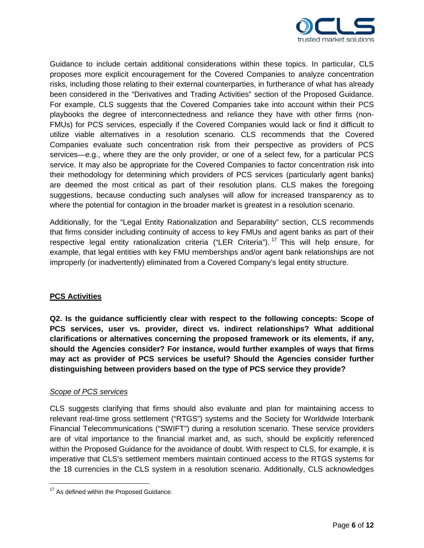

Guidance to include certain additional considerations within these topics. In particular, CLS proposes more explicit encouragement for the Covered Companies to analyze concentration risks, including those relating to their external counterparties, in furtherance of what has already been considered in the "Derivatives and Trading Activities" section of the Proposed Guidance. For example, CLS suggests that the Covered Companies take into account within their PCS playbooks the degree of interconnectedness and reliance they have with other firms (non-FMUs) for PCS services, especially if the Covered Companies would lack or find it difficult to utilize viable alternatives in a resolution scenario. CLS recommends that the Covered Companies evaluate such concentration risk from their perspective as providers of PCS services—e.g., where they are the only provider, or one of a select few, for a particular PCS service. It may also be appropriate for the Covered Companies to factor concentration risk into their methodology for determining which providers of PCS services (particularly agent banks) are deemed the most critical as part of their resolution plans. CLS makes the foregoing suggestions, because conducting such analyses will allow for increased transparency as to where the potential for contagion in the broader market is greatest in a resolution scenario.

Additionally, for the "Legal Entity Rationalization and Separability" section, CLS recommends that firms consider including continuity of access to key FMUs and agent banks as part of their respective legal entity rationalization criteria ("LER Criteria").<sup>[17](#page-5-0)</sup> This will help ensure, for example, that legal entities with key FMU memberships and/or agent bank relationships are not improperly (or inadvertently) eliminated from a Covered Company's legal entity structure.

## **PCS Activities**

**Q2. Is the guidance sufficiently clear with respect to the following concepts: Scope of PCS services, user vs. provider, direct vs. indirect relationships? What additional clarifications or alternatives concerning the proposed framework or its elements, if any, should the Agencies consider? For instance, would further examples of ways that firms may act as provider of PCS services be useful? Should the Agencies consider further distinguishing between providers based on the type of PCS service they provide?**

## *Scope of PCS services*

CLS suggests clarifying that firms should also evaluate and plan for maintaining access to relevant real-time gross settlement ("RTGS") systems and the Society for Worldwide Interbank Financial Telecommunications ("SWIFT") during a resolution scenario. These service providers are of vital importance to the financial market and, as such, should be explicitly referenced within the Proposed Guidance for the avoidance of doubt. With respect to CLS, for example, it is imperative that CLS's settlement members maintain continued access to the RTGS systems for the 18 currencies in the CLS system in a resolution scenario. Additionally, CLS acknowledges

<span id="page-5-0"></span><sup>&</sup>lt;sup>17</sup> As defined within the Proposed Guidance.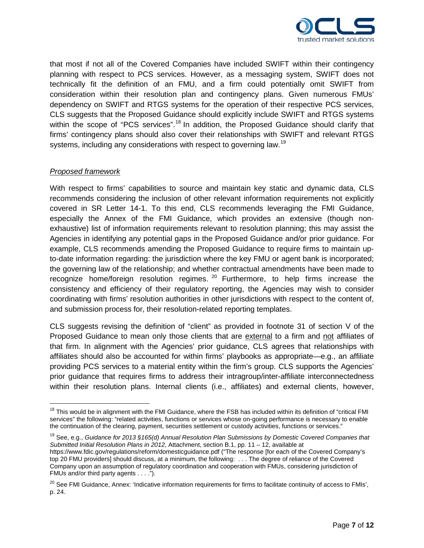

that most if not all of the Covered Companies have included SWIFT within their contingency planning with respect to PCS services. However, as a messaging system, SWIFT does not technically fit the definition of an FMU, and a firm could potentially omit SWIFT from consideration within their resolution plan and contingency plans. Given numerous FMUs' dependency on SWIFT and RTGS systems for the operation of their respective PCS services, CLS suggests that the Proposed Guidance should explicitly include SWIFT and RTGS systems within the scope of "PCS services".<sup>[18](#page-6-0)</sup> In addition, the Proposed Guidance should clarify that firms' contingency plans should also cover their relationships with SWIFT and relevant RTGS systems, including any considerations with respect to governing law.<sup>[19](#page-6-1)</sup>

## *Proposed framework*

With respect to firms' capabilities to source and maintain key static and dynamic data, CLS recommends considering the inclusion of other relevant information requirements not explicitly covered in SR Letter 14-1. To this end, CLS recommends leveraging the FMI Guidance, especially the Annex of the FMI Guidance, which provides an extensive (though nonexhaustive) list of information requirements relevant to resolution planning; this may assist the Agencies in identifying any potential gaps in the Proposed Guidance and/or prior guidance. For example, CLS recommends amending the Proposed Guidance to require firms to maintain upto-date information regarding: the jurisdiction where the key FMU or agent bank is incorporated; the governing law of the relationship; and whether contractual amendments have been made to recognize home/foreign resolution regimes.  $20$  Furthermore, to help firms increase the consistency and efficiency of their regulatory reporting, the Agencies may wish to consider coordinating with firms' resolution authorities in other jurisdictions with respect to the content of, and submission process for, their resolution-related reporting templates.

CLS suggests revising the definition of "client" as provided in footnote 31 of section V of the Proposed Guidance to mean only those clients that are external to a firm and not affiliates of that firm. In alignment with the Agencies' prior guidance, CLS agrees that relationships with affiliates should also be accounted for within firms' playbooks as appropriate—e.g., an affiliate providing PCS services to a material entity within the firm's group. CLS supports the Agencies' prior guidance that requires firms to address their intragroup/inter-affiliate interconnectedness within their resolution plans. Internal clients (i.e., affiliates) and external clients, however,

<span id="page-6-1"></span><sup>19</sup> See, e.g., *Guidance for 2013 §165(d) Annual Resolution Plan Submissions by Domestic Covered Companies that Submitted Initial Resolution Plans in 2012*, Attachment, section B.1, pp. 11 – 12, available at https://www.fdic.gov/regulations/reform/domesticguidance.pdf ("The response [for each of the Covered Company's top 20 FMU providers] should discuss, at a minimum, the following: . . . The degree of reliance of the Covered Company upon an assumption of regulatory coordination and cooperation with FMUs, considering jurisdiction of FMUs and/or third party agents . . . .").

<span id="page-6-0"></span><sup>&</sup>lt;sup>18</sup> This would be in alignment with the FMI Guidance, where the FSB has included within its definition of "critical FMI services" the following: "related activities, functions or services whose on-going performance is necessary to enable the continuation of the clearing, payment, securities settlement or custody activities, functions or services."

<span id="page-6-2"></span><sup>&</sup>lt;sup>20</sup> See FMI Guidance, Annex: 'Indicative information requirements for firms to facilitate continuity of access to FMIs', p. 24.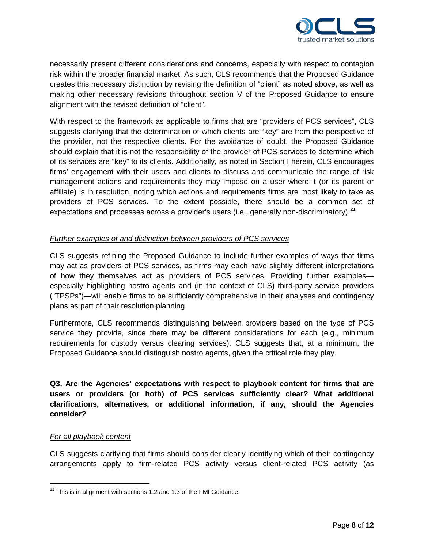

necessarily present different considerations and concerns, especially with respect to contagion risk within the broader financial market. As such, CLS recommends that the Proposed Guidance creates this necessary distinction by revising the definition of "client" as noted above, as well as making other necessary revisions throughout section V of the Proposed Guidance to ensure alignment with the revised definition of "client".

With respect to the framework as applicable to firms that are "providers of PCS services", CLS suggests clarifying that the determination of which clients are "key" are from the perspective of the provider, not the respective clients. For the avoidance of doubt, the Proposed Guidance should explain that it is not the responsibility of the provider of PCS services to determine which of its services are "key" to its clients. Additionally, as noted in Section I herein, CLS encourages firms' engagement with their users and clients to discuss and communicate the range of risk management actions and requirements they may impose on a user where it (or its parent or affiliate) is in resolution, noting which actions and requirements firms are most likely to take as providers of PCS services. To the extent possible, there should be a common set of expectations and processes across a provider's users (i.e., generally non-discriminatory).<sup>[21](#page-7-0)</sup>

## *Further examples of and distinction between providers of PCS services*

CLS suggests refining the Proposed Guidance to include further examples of ways that firms may act as providers of PCS services, as firms may each have slightly different interpretations of how they themselves act as providers of PCS services. Providing further examples especially highlighting nostro agents and (in the context of CLS) third-party service providers ("TPSPs")—will enable firms to be sufficiently comprehensive in their analyses and contingency plans as part of their resolution planning.

Furthermore, CLS recommends distinguishing between providers based on the type of PCS service they provide, since there may be different considerations for each (e.g., minimum requirements for custody versus clearing services). CLS suggests that, at a minimum, the Proposed Guidance should distinguish nostro agents, given the critical role they play.

**Q3. Are the Agencies' expectations with respect to playbook content for firms that are users or providers (or both) of PCS services sufficiently clear? What additional clarifications, alternatives, or additional information, if any, should the Agencies consider?**

## *For all playbook content*

CLS suggests clarifying that firms should consider clearly identifying which of their contingency arrangements apply to firm-related PCS activity versus client-related PCS activity (as

<span id="page-7-0"></span> $21$  This is in alignment with sections 1.2 and 1.3 of the FMI Guidance.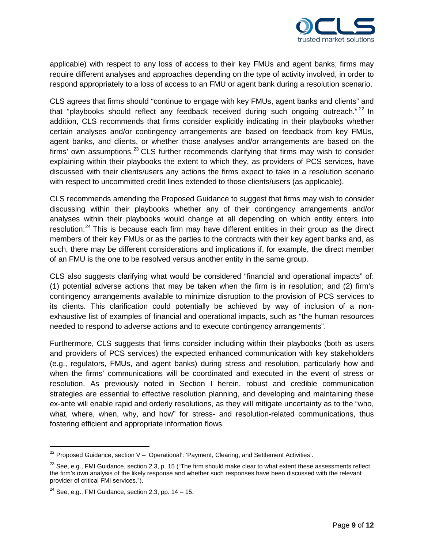

applicable) with respect to any loss of access to their key FMUs and agent banks; firms may require different analyses and approaches depending on the type of activity involved, in order to respond appropriately to a loss of access to an FMU or agent bank during a resolution scenario.

CLS agrees that firms should "continue to engage with key FMUs, agent banks and clients" and that "playbooks should reflect any feedback received during such ongoing outreach."<sup>[22](#page-8-0)</sup> In addition, CLS recommends that firms consider explicitly indicating in their playbooks whether certain analyses and/or contingency arrangements are based on feedback from key FMUs, agent banks, and clients, or whether those analyses and/or arrangements are based on the firms' own assumptions.<sup>[23](#page-8-1)</sup> CLS further recommends clarifying that firms may wish to consider explaining within their playbooks the extent to which they, as providers of PCS services, have discussed with their clients/users any actions the firms expect to take in a resolution scenario with respect to uncommitted credit lines extended to those clients/users (as applicable).

CLS recommends amending the Proposed Guidance to suggest that firms may wish to consider discussing within their playbooks whether any of their contingency arrangements and/or analyses within their playbooks would change at all depending on which entity enters into resolution.<sup>[24](#page-8-2)</sup> This is because each firm may have different entities in their group as the direct members of their key FMUs or as the parties to the contracts with their key agent banks and, as such, there may be different considerations and implications if, for example, the direct member of an FMU is the one to be resolved versus another entity in the same group.

CLS also suggests clarifying what would be considered "financial and operational impacts" of: (1) potential adverse actions that may be taken when the firm is in resolution; and (2) firm's contingency arrangements available to minimize disruption to the provision of PCS services to its clients. This clarification could potentially be achieved by way of inclusion of a nonexhaustive list of examples of financial and operational impacts, such as "the human resources needed to respond to adverse actions and to execute contingency arrangements".

Furthermore, CLS suggests that firms consider including within their playbooks (both as users and providers of PCS services) the expected enhanced communication with key stakeholders (e.g., regulators, FMUs, and agent banks) during stress and resolution, particularly how and when the firms' communications will be coordinated and executed in the event of stress or resolution. As previously noted in Section I herein, robust and credible communication strategies are essential to effective resolution planning, and developing and maintaining these ex-ante will enable rapid and orderly resolutions, as they will mitigate uncertainty as to the "who, what, where, when, why, and how" for stress- and resolution-related communications, thus fostering efficient and appropriate information flows.

<span id="page-8-0"></span> $22$  Proposed Guidance, section V – 'Operational': 'Payment, Clearing, and Settlement Activities'.

<span id="page-8-1"></span> $23$  See, e.g., FMI Guidance, section 2.3, p. 15 ("The firm should make clear to what extent these assessments reflect the firm's own analysis of the likely response and whether such responses have been discussed with the relevant provider of critical FMI services.").

<span id="page-8-2"></span><sup>&</sup>lt;sup>24</sup> See, e.g., FMI Guidance, section 2.3, pp.  $14 - 15$ .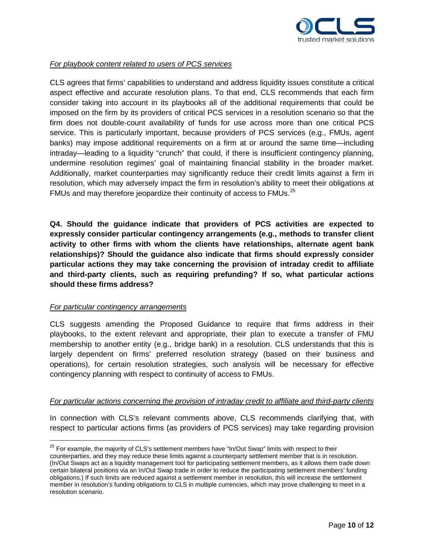

## *For playbook content related to users of PCS services*

CLS agrees that firms' capabilities to understand and address liquidity issues constitute a critical aspect effective and accurate resolution plans. To that end, CLS recommends that each firm consider taking into account in its playbooks all of the additional requirements that could be imposed on the firm by its providers of critical PCS services in a resolution scenario so that the firm does not double-count availability of funds for use across more than one critical PCS service. This is particularly important, because providers of PCS services (e.g., FMUs, agent banks) may impose additional requirements on a firm at or around the same time—including intraday—leading to a liquidity "crunch" that could, if there is insufficient contingency planning, undermine resolution regimes' goal of maintaining financial stability in the broader market. Additionally, market counterparties may significantly reduce their credit limits against a firm in resolution, which may adversely impact the firm in resolution's ability to meet their obligations at FMUs and may therefore jeopardize their continuity of access to FMUs.<sup>[25](#page-9-0)</sup>

**Q4. Should the guidance indicate that providers of PCS activities are expected to expressly consider particular contingency arrangements (e.g., methods to transfer client activity to other firms with whom the clients have relationships, alternate agent bank relationships)? Should the guidance also indicate that firms should expressly consider particular actions they may take concerning the provision of intraday credit to affiliate and third-party clients, such as requiring prefunding? If so, what particular actions should these firms address?**

#### *For particular contingency arrangements*

CLS suggests amending the Proposed Guidance to require that firms address in their playbooks, to the extent relevant and appropriate, their plan to execute a transfer of FMU membership to another entity (e.g., bridge bank) in a resolution. CLS understands that this is largely dependent on firms' preferred resolution strategy (based on their business and operations), for certain resolution strategies, such analysis will be necessary for effective contingency planning with respect to continuity of access to FMUs.

#### *For particular actions concerning the provision of intraday credit to affiliate and third-party clients*

In connection with CLS's relevant comments above, CLS recommends clarifying that, with respect to particular actions firms (as providers of PCS services) may take regarding provision

<span id="page-9-0"></span> $25$  For example, the majority of CLS's settlement members have "In/Out Swap" limits with respect to their counterparties, and they may reduce these limits against a counterparty settlement member that is in resolution. (In/Out Swaps act as a liquidity management tool for participating settlement members, as it allows them trade down certain bilateral positions via an In/Out Swap trade in order to reduce the participating settlement members' funding obligations.) If such limits are reduced against a settlement member in resolution, this will increase the settlement member in resolution's funding obligations to CLS in multiple currencies, which may prove challenging to meet in a resolution scenario.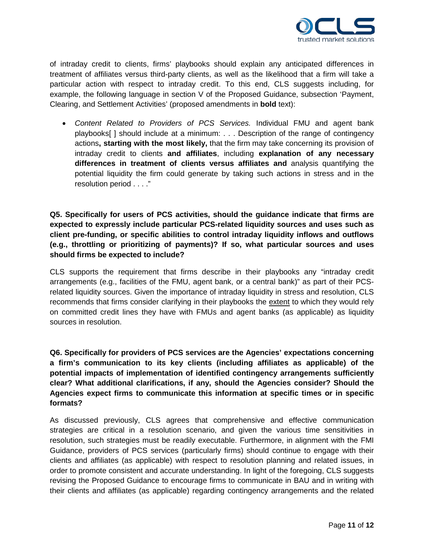

of intraday credit to clients, firms' playbooks should explain any anticipated differences in treatment of affiliates versus third-party clients, as well as the likelihood that a firm will take a particular action with respect to intraday credit. To this end, CLS suggests including, for example, the following language in section V of the Proposed Guidance, subsection 'Payment, Clearing, and Settlement Activities' (proposed amendments in **bold** text):

• *Content Related to Providers of PCS Services.* Individual FMU and agent bank playbooks[ ] should include at a minimum: . . . Description of the range of contingency actions**, starting with the most likely,** that the firm may take concerning its provision of intraday credit to clients **and affiliates**, including **explanation of any necessary differences in treatment of clients versus affiliates and** analysis quantifying the potential liquidity the firm could generate by taking such actions in stress and in the resolution period . . . ."

# **Q5. Specifically for users of PCS activities, should the guidance indicate that firms are expected to expressly include particular PCS-related liquidity sources and uses such as client pre-funding, or specific abilities to control intraday liquidity inflows and outflows (e.g., throttling or prioritizing of payments)? If so, what particular sources and uses should firms be expected to include?**

CLS supports the requirement that firms describe in their playbooks any "intraday credit arrangements (e.g., facilities of the FMU, agent bank, or a central bank)" as part of their PCSrelated liquidity sources. Given the importance of intraday liquidity in stress and resolution, CLS recommends that firms consider clarifying in their playbooks the extent to which they would rely on committed credit lines they have with FMUs and agent banks (as applicable) as liquidity sources in resolution.

**Q6. Specifically for providers of PCS services are the Agencies' expectations concerning a firm's communication to its key clients (including affiliates as applicable) of the potential impacts of implementation of identified contingency arrangements sufficiently clear? What additional clarifications, if any, should the Agencies consider? Should the Agencies expect firms to communicate this information at specific times or in specific formats?**

As discussed previously, CLS agrees that comprehensive and effective communication strategies are critical in a resolution scenario, and given the various time sensitivities in resolution, such strategies must be readily executable. Furthermore, in alignment with the FMI Guidance, providers of PCS services (particularly firms) should continue to engage with their clients and affiliates (as applicable) with respect to resolution planning and related issues, in order to promote consistent and accurate understanding. In light of the foregoing, CLS suggests revising the Proposed Guidance to encourage firms to communicate in BAU and in writing with their clients and affiliates (as applicable) regarding contingency arrangements and the related